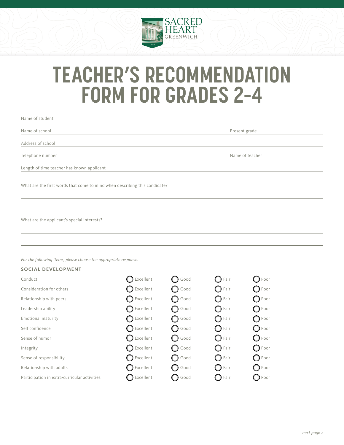

# **TEACHER'S RECOMMENDATION FORM FOR GRADES 2–4**

| Name of student                                                            |                 |
|----------------------------------------------------------------------------|-----------------|
| Name of school                                                             | Present grade   |
| Address of school                                                          |                 |
| Telephone number                                                           | Name of teacher |
| Length of time teacher has known applicant                                 |                 |
| What are the first words that come to mind when describing this candidate? |                 |
|                                                                            |                 |
| What are the applicant's special interests?                                |                 |
|                                                                            |                 |

*For the following items, please choose the appropriate response.* 

### **SOCIAL DEVELOPMENT**

| Conduct                                      | $\bigcap$ Excellent  | $\bigcap$ Good  | $\bigcap$ Fair  | $\bigcirc$ Poor |
|----------------------------------------------|----------------------|-----------------|-----------------|-----------------|
| Consideration for others                     | $\bigcirc$ Excellent | $\bigcirc$ Good | $\bigcirc$ Fair | $\bigcirc$ Poor |
| Relationship with peers                      | $\bigcap$ Excellent  | ◯ Good          | $\bigcirc$ Fair | $\bigcirc$ Poor |
| Leadership ability                           | $\bigcap$ Excellent  | ◯ Good          | $\bigcap$ Fair  | $\bigcirc$ Poor |
| Emotional maturity                           | $\bigcap$ Excellent  | ◯ Good          | $\bigcap$ Fair  | $\bigcirc$ Poor |
| Self confidence                              | $\bigcirc$ Excellent | $\bigcirc$ Good | $\bigcirc$ Fair | $\bigcirc$ Poor |
| Sense of humor                               | $\bigcirc$ Excellent | $\bigcirc$ Good | $\bigcirc$ Fair | $\bigcirc$ Poor |
| Integrity                                    | $\bigcirc$ Excellent | <b>Q</b> Good   | $\bigcirc$ Fair | $\bigcirc$ Poor |
| Sense of responsibility                      | $\bigcap$ Excellent  | ◯ Good          | $\bigcirc$ Fair | $\bigcirc$ Poor |
| Relationship with adults                     | $\bigcap$ Excellent  | $\bigcirc$ Good | $\bigcap$ Fair  | $\bigcirc$ Poor |
| Participation in extra-curricular activities | $\bigcap$ Excellent  | <b>O</b> Good   | $\bigcirc$ Fair | $\bigcirc$ Poor |